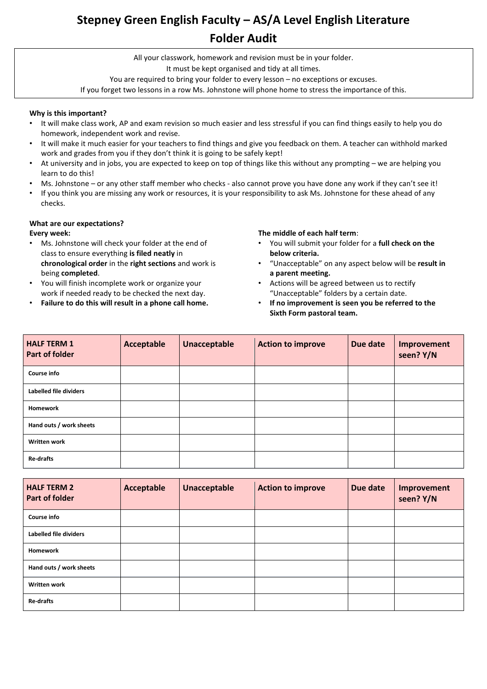## **Stepney Green English Faculty – AS/A Level English Literature Folder Audit**

All your classwork, homework and revision must be in your folder. It must be kept organised and tidy at all times. You are required to bring your folder to every lesson – no exceptions or excuses.

If you forget two lessons in a row Ms. Johnstone will phone home to stress the importance of this.

#### **Why is this important?**

- It will make class work, AP and exam revision so much easier and less stressful if you can find things easily to help you do homework, independent work and revise.
- It will make it much easier for your teachers to find things and give you feedback on them. A teacher can withhold marked work and grades from you if they don't think it is going to be safely kept!
- At university and in jobs, you are expected to keep on top of things like this without any prompting we are helping you learn to do this!
- Ms. Johnstone or any other staff member who checks also cannot prove you have done any work if they can't see it!
- If you think you are missing any work or resources, it is your responsibility to ask Ms. Johnstone for these ahead of any checks.

#### **What are our expectations?**

### **Every week:**

- Ms. Johnstone will check your folder at the end of class to ensure everything **is filed neatly** in **chronological order** in the **right sections** and work is being **completed**.
- You will finish incomplete work or organize your work if needed ready to be checked the next day.
- **Failure to do this will result in a phone call home.**

#### **The middle of each half term**:

- You will submit your folder for a **full check on the below criteria.**
- "Unacceptable" on any aspect below will be **result in a parent meeting.**
- Actions will be agreed between us to rectify "Unacceptable" folders by a certain date.
- **If no improvement is seen you be referred to the Sixth Form pastoral team.**

| <b>HALF TERM 1</b><br><b>Part of folder</b> | <b>Acceptable</b> | <b>Unacceptable</b> | <b>Action to improve</b> | Due date | Improvement<br>seen? Y/N |
|---------------------------------------------|-------------------|---------------------|--------------------------|----------|--------------------------|
| <b>Course info</b>                          |                   |                     |                          |          |                          |
| Labelled file dividers                      |                   |                     |                          |          |                          |
| <b>Homework</b>                             |                   |                     |                          |          |                          |
| Hand outs / work sheets                     |                   |                     |                          |          |                          |
| <b>Written work</b>                         |                   |                     |                          |          |                          |
| <b>Re-drafts</b>                            |                   |                     |                          |          |                          |

| <b>HALF TERM 2</b><br><b>Part of folder</b> | Acceptable | <b>Unacceptable</b> | <b>Action to improve</b> | Due date | Improvement<br>seen? Y/N |
|---------------------------------------------|------------|---------------------|--------------------------|----------|--------------------------|
| <b>Course info</b>                          |            |                     |                          |          |                          |
| Labelled file dividers                      |            |                     |                          |          |                          |
| <b>Homework</b>                             |            |                     |                          |          |                          |
| Hand outs / work sheets                     |            |                     |                          |          |                          |
| <b>Written work</b>                         |            |                     |                          |          |                          |
| <b>Re-drafts</b>                            |            |                     |                          |          |                          |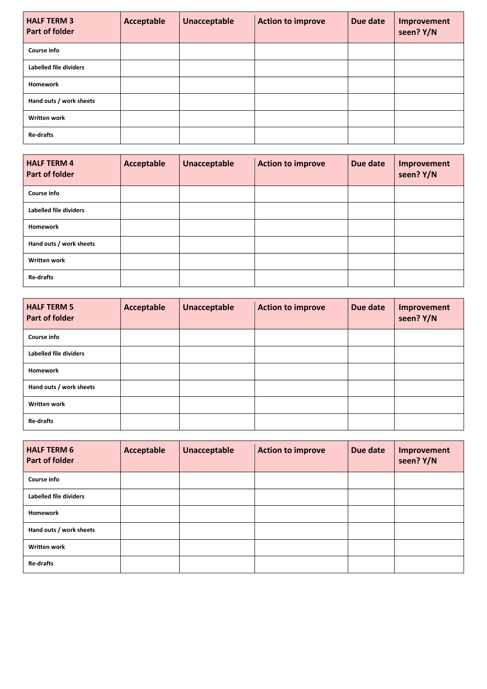| <b>HALF TERM 3</b><br><b>Part of folder</b> | <b>Acceptable</b> | <b>Unacceptable</b> | <b>Action to improve</b> | Due date | Improvement<br>seen? Y/N |
|---------------------------------------------|-------------------|---------------------|--------------------------|----------|--------------------------|
| <b>Course info</b>                          |                   |                     |                          |          |                          |
| Labelled file dividers                      |                   |                     |                          |          |                          |
| Homework                                    |                   |                     |                          |          |                          |
| Hand outs / work sheets                     |                   |                     |                          |          |                          |
| <b>Written work</b>                         |                   |                     |                          |          |                          |
| <b>Re-drafts</b>                            |                   |                     |                          |          |                          |

| <b>HALF TERM 4</b><br><b>Part of folder</b> | Acceptable | <b>Unacceptable</b> | <b>Action to improve</b> | Due date | Improvement<br>seen? Y/N |
|---------------------------------------------|------------|---------------------|--------------------------|----------|--------------------------|
| <b>Course info</b>                          |            |                     |                          |          |                          |
| Labelled file dividers                      |            |                     |                          |          |                          |
| Homework                                    |            |                     |                          |          |                          |
| Hand outs / work sheets                     |            |                     |                          |          |                          |
| <b>Written work</b>                         |            |                     |                          |          |                          |
| <b>Re-drafts</b>                            |            |                     |                          |          |                          |

| <b>HALF TERM 5</b><br><b>Part of folder</b> | Acceptable | <b>Unacceptable</b> | <b>Action to improve</b> | Due date | Improvement<br>seen? Y/N |
|---------------------------------------------|------------|---------------------|--------------------------|----------|--------------------------|
| <b>Course info</b>                          |            |                     |                          |          |                          |
| Labelled file dividers                      |            |                     |                          |          |                          |
| <b>Homework</b>                             |            |                     |                          |          |                          |
| Hand outs / work sheets                     |            |                     |                          |          |                          |
| <b>Written work</b>                         |            |                     |                          |          |                          |
| <b>Re-drafts</b>                            |            |                     |                          |          |                          |

| <b>HALF TERM 6</b><br><b>Part of folder</b> | <b>Acceptable</b> | <b>Unacceptable</b> | <b>Action to improve</b> | Due date | Improvement<br>seen? Y/N |
|---------------------------------------------|-------------------|---------------------|--------------------------|----------|--------------------------|
| <b>Course info</b>                          |                   |                     |                          |          |                          |
| Labelled file dividers                      |                   |                     |                          |          |                          |
| <b>Homework</b>                             |                   |                     |                          |          |                          |
| Hand outs / work sheets                     |                   |                     |                          |          |                          |
| <b>Written work</b>                         |                   |                     |                          |          |                          |
| Re-drafts                                   |                   |                     |                          |          |                          |